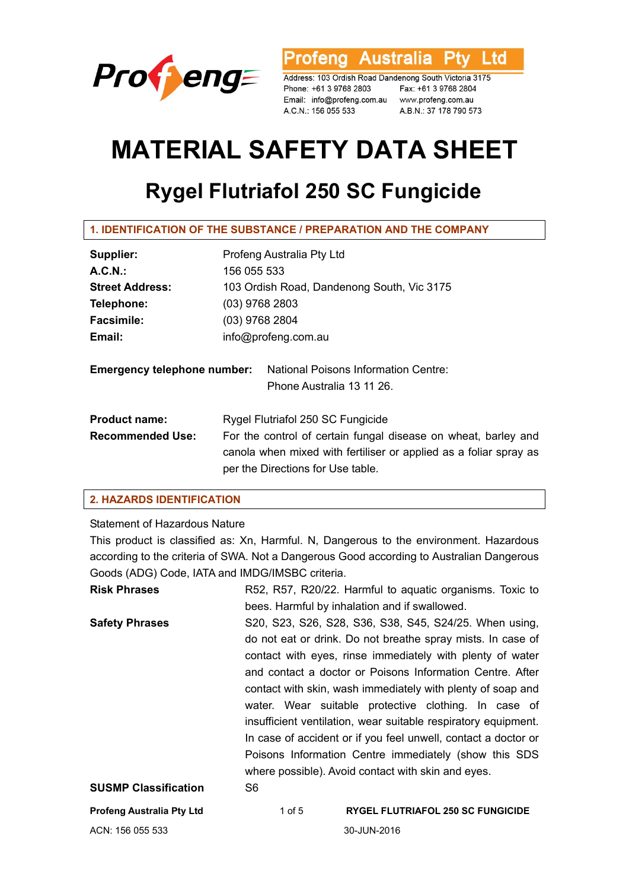

'rofeng Australia **Ptv** Ltd

Address: 103 Ordish Road Dandenong South Victoria 3175 Phone: +61 3 9768 2803 Email: info@profeng.com.au www.profeng.com.au A.C.N.: 156 055 533

Fax: +61 3 9768 2804 A.B.N.: 37 178 790 573

# **MATERIAL SAFETY DATA SHEET**

# **Rygel Flutriafol 250 SC Fungicide**

**1. IDENTIFICATION OF THE SUBSTANCE / PREPARATION AND THE COMPANY** 

| Supplier:                          | Profeng Australia Pty Ltd                                                                                                                                                |  |  |
|------------------------------------|--------------------------------------------------------------------------------------------------------------------------------------------------------------------------|--|--|
| A.C.N.                             | 156 055 533                                                                                                                                                              |  |  |
| <b>Street Address:</b>             | 103 Ordish Road, Dandenong South, Vic 3175                                                                                                                               |  |  |
| Telephone:                         | $(03)$ 9768 2803                                                                                                                                                         |  |  |
| <b>Facsimile:</b>                  | $(03)$ 9768 2804                                                                                                                                                         |  |  |
| Email:                             | info@profeng.com.au                                                                                                                                                      |  |  |
| <b>Emergency telephone number:</b> | <b>National Poisons Information Centre:</b><br>Phone Australia 13 11 26.                                                                                                 |  |  |
| <b>Product name:</b>               | Rygel Flutriafol 250 SC Fungicide                                                                                                                                        |  |  |
| <b>Recommended Use:</b>            | For the control of certain fungal disease on wheat, barley and<br>canola when mixed with fertiliser or applied as a foliar spray as<br>per the Directions for Use table. |  |  |

# **2. HAZARDS IDENTIFICATION**

# Statement of Hazardous Nature

This product is classified as: Xn, Harmful. N, Dangerous to the environment. Hazardous according to the criteria of SWA. Not a Dangerous Good according to Australian Dangerous Goods (ADG) Code, IATA and IMDG/IMSBC criteria.

| <b>Risk Phrases</b>              | R52, R57, R20/22. Harmful to aquatic organisms. Toxic to |                                                                |  |
|----------------------------------|----------------------------------------------------------|----------------------------------------------------------------|--|
|                                  |                                                          | bees. Harmful by inhalation and if swallowed.                  |  |
| <b>Safety Phrases</b>            |                                                          | S20, S23, S26, S28, S36, S38, S45, S24/25. When using,         |  |
|                                  |                                                          | do not eat or drink. Do not breathe spray mists. In case of    |  |
|                                  |                                                          | contact with eyes, rinse immediately with plenty of water      |  |
|                                  |                                                          | and contact a doctor or Poisons Information Centre. After      |  |
|                                  |                                                          | contact with skin, wash immediately with plenty of soap and    |  |
|                                  |                                                          | water. Wear suitable protective clothing. In case of           |  |
|                                  |                                                          | insufficient ventilation, wear suitable respiratory equipment. |  |
|                                  |                                                          | In case of accident or if you feel unwell, contact a doctor or |  |
|                                  | Poisons Information Centre immediately (show this SDS    |                                                                |  |
|                                  |                                                          | where possible). Avoid contact with skin and eyes.             |  |
| <b>SUSMP Classification</b>      | S <sub>6</sub>                                           |                                                                |  |
| <b>Profeng Australia Pty Ltd</b> | 1 of 5                                                   | <b>RYGEL FLUTRIAFOL 250 SC FUNGICIDE</b>                       |  |
|                                  |                                                          |                                                                |  |

ACN: 156 055 533 30-JUN-2016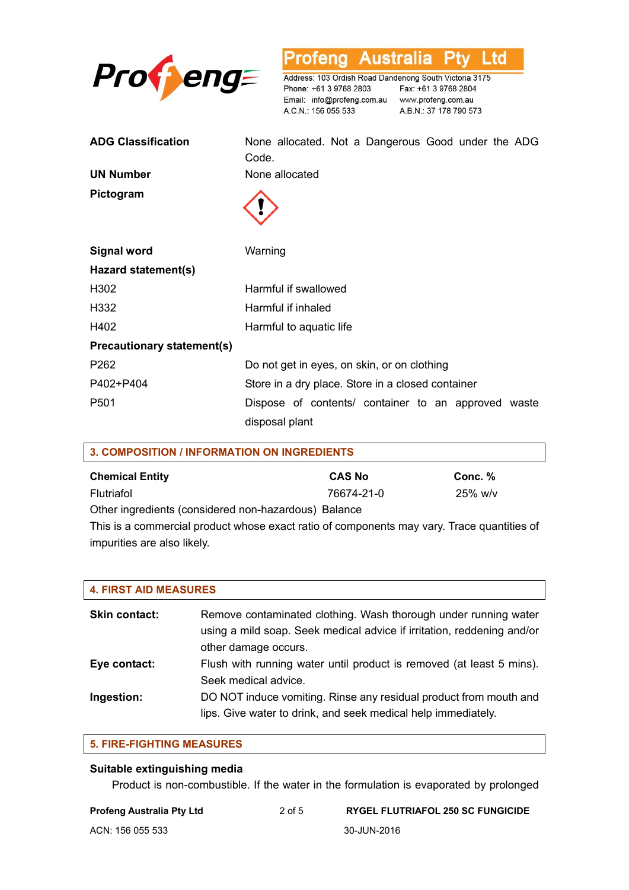

**Profeng Australia** Ptv Ltd

Address: 103 Ordish Road Dandenong South Victoria 3175 Phone: +61 3 9768 2803 Fax: +61 3 9768 2804 A.C.N.: 156 055 533

A.B.N.: 37 178 790 573

| <b>ADG Classification</b>         | None allocated. Not a Dangerous Good under the ADG<br>Code. |  |  |
|-----------------------------------|-------------------------------------------------------------|--|--|
| <b>UN Number</b>                  | None allocated                                              |  |  |
| Pictogram                         |                                                             |  |  |
| <b>Signal word</b>                | Warning                                                     |  |  |
| Hazard statement(s)               |                                                             |  |  |
| H302                              | Harmful if swallowed                                        |  |  |
| H332                              | Harmful if inhaled                                          |  |  |
| H402                              | Harmful to aquatic life                                     |  |  |
| <b>Precautionary statement(s)</b> |                                                             |  |  |
| P <sub>262</sub>                  | Do not get in eyes, on skin, or on clothing                 |  |  |
| P402+P404                         | Store in a dry place. Store in a closed container           |  |  |
| P <sub>501</sub>                  | Dispose of contents/ container to an approved waste         |  |  |
|                                   | disposal plant                                              |  |  |

| 3. COMPOSITION / INFORMATION ON INGREDIENTS          |               |            |  |
|------------------------------------------------------|---------------|------------|--|
| <b>Chemical Entity</b>                               | <b>CAS No</b> | Conc. $%$  |  |
| Flutriafol                                           | 76674-21-0    | $25\%$ w/v |  |
| Other ingredients (considered non-hazardous) Balance |               |            |  |

This is a commercial product whose exact ratio of components may vary. Trace quantities of impurities are also likely.

| <b>4. FIRST AID MEASURES</b> |                                                                                                                                                                   |  |  |
|------------------------------|-------------------------------------------------------------------------------------------------------------------------------------------------------------------|--|--|
| <b>Skin contact:</b>         | Remove contaminated clothing. Wash thorough under running water<br>using a mild soap. Seek medical advice if irritation, reddening and/or<br>other damage occurs. |  |  |
| Eye contact:                 | Flush with running water until product is removed (at least 5 mins).<br>Seek medical advice.                                                                      |  |  |
| Ingestion:                   | DO NOT induce vomiting. Rinse any residual product from mouth and<br>lips. Give water to drink, and seek medical help immediately.                                |  |  |

#### **5. FIRE-FIGHTING MEASURES**

#### **Suitable extinguishing media**

Product is non-combustible. If the water in the formulation is evaporated by prolonged

|  | <b>Profeng Australia Pty Lt</b> |  |
|--|---------------------------------|--|
|--|---------------------------------|--|

#### **Profend Australia Profension RyGEL FLUTRIAFOL 250 SC FUNGICIDE**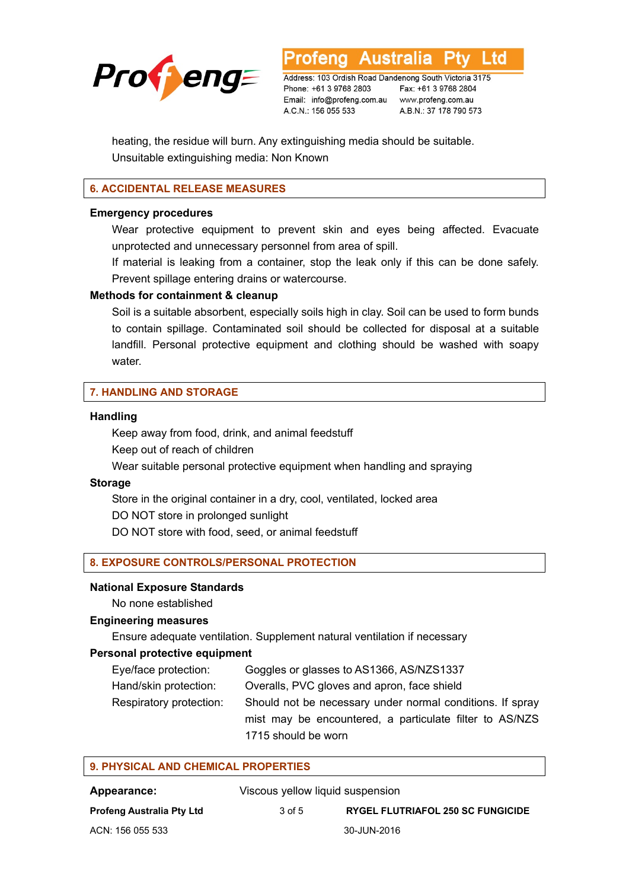

**Australia** Ltd

Address: 103 Ordish Road Dandenong South Victoria 3175 Phone: +61 3 9768 2803 Email: info@profeng.com.au www.profeng.com.au A.C.N.: 156 055 533

Fax: +61 3 9768 2804 A.B.N.: 37 178 790 573

heating, the residue will burn. Any extinguishing media should be suitable. Unsuitable extinguishing media: Non Known

# **6. ACCIDENTAL RELEASE MEASURES**

#### **Emergency procedures**

Wear protective equipment to prevent skin and eyes being affected. Evacuate unprotected and unnecessary personnel from area of spill.

If material is leaking from a container, stop the leak only if this can be done safely. Prevent spillage entering drains or watercourse.

#### **Methods for containment & cleanup**

Soil is a suitable absorbent, especially soils high in clay. Soil can be used to form bunds to contain spillage. Contaminated soil should be collected for disposal at a suitable landfill. Personal protective equipment and clothing should be washed with soapy water.

# **7. HANDLING AND STORAGE**

#### **Handling**

Keep away from food, drink, and animal feedstuff Keep out of reach of children

Wear suitable personal protective equipment when handling and spraying

#### **Storage**

Store in the original container in a dry, cool, ventilated, locked area DO NOT store in prolonged sunlight

DO NOT store with food, seed, or animal feedstuff

#### **8. EXPOSURE CONTROLS/PERSONAL PROTECTION**

#### **National Exposure Standards**

No none established

#### **Engineering measures**

Ensure adequate ventilation. Supplement natural ventilation if necessary

# **Personal protective equipment**

| Eye/face protection:    | Goggles or glasses to AS1366, AS/NZS1337                  |
|-------------------------|-----------------------------------------------------------|
| Hand/skin protection:   | Overalls, PVC gloves and apron, face shield               |
| Respiratory protection: | Should not be necessary under normal conditions. If spray |
|                         | mist may be encountered, a particulate filter to AS/NZS   |
|                         | 1715 should be worn                                       |

| 9. PHYSICAL AND CHEMICAL PROPERTIES                    |        |                                          |  |
|--------------------------------------------------------|--------|------------------------------------------|--|
| Viscous yellow liquid suspension<br><b>Appearance:</b> |        |                                          |  |
| Profeng Australia Pty Ltd                              | 3 of 5 | <b>RYGEL FLUTRIAFOL 250 SC FUNGICIDE</b> |  |

ACN: 156 055 533 30-JUN-2016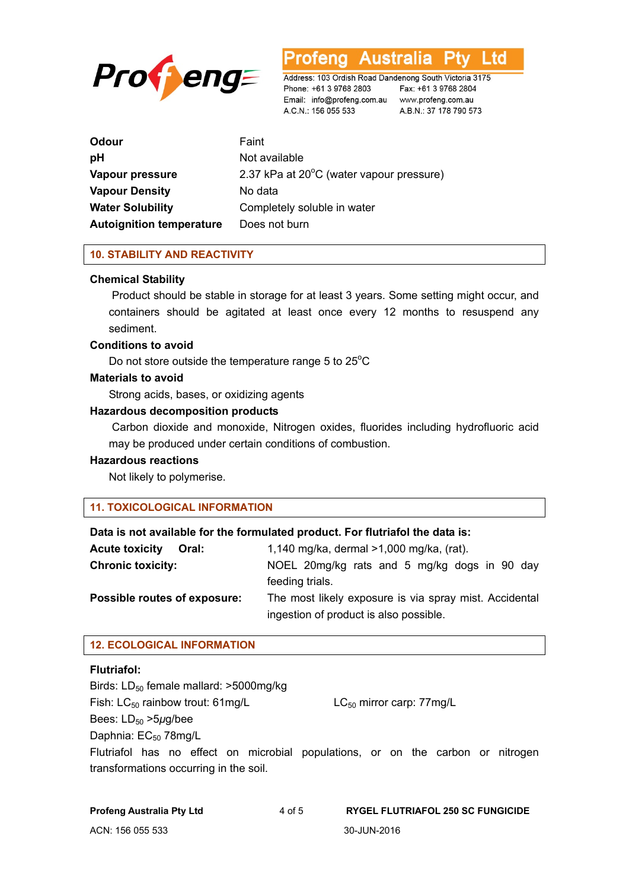

**Australia** ∟td rotena

Address: 103 Ordish Road Dandenong South Victoria 3175 Phone: +61 3 9768 2803 Email: info@profeng.com.au www.profeng.com.au A.C.N.: 156 055 533

Fax: +61 3 9768 2804 A.B.N.: 37 178 790 573

| Odour                           | Faint                                    |
|---------------------------------|------------------------------------------|
| рH                              | Not available                            |
| Vapour pressure                 | 2.37 kPa at 20°C (water vapour pressure) |
| <b>Vapour Density</b>           | No data                                  |
| <b>Water Solubility</b>         | Completely soluble in water              |
| <b>Autoignition temperature</b> | Does not burn                            |

#### **10. STABILITY AND REACTIVITY**

#### **Chemical Stability**

Product should be stable in storage for at least 3 years. Some setting might occur, and containers should be agitated at least once every 12 months to resuspend any sediment.

#### **Conditions to avoid**

Do not store outside the temperature range 5 to  $25^{\circ}$ C

# **Materials to avoid**

Strong acids, bases, or oxidizing agents

#### **Hazardous decomposition products**

 Carbon dioxide and monoxide, Nitrogen oxides, fluorides including hydrofluoric acid may be produced under certain conditions of combustion.

# **Hazardous reactions**

Not likely to polymerise.

#### **11. TOXICOLOGICAL INFORMATION**

#### **Data is not available for the formulated product. For flutriafol the data is:**

| <b>Acute toxicity</b><br>Oral: | 1,140 mg/ka, dermal >1,000 mg/ka, (rat).               |  |  |
|--------------------------------|--------------------------------------------------------|--|--|
| <b>Chronic toxicity:</b>       | NOEL 20mg/kg rats and 5 mg/kg dogs in 90 day           |  |  |
|                                | feeding trials.                                        |  |  |
| Possible routes of exposure:   | The most likely exposure is via spray mist. Accidental |  |  |
|                                | ingestion of product is also possible.                 |  |  |

# **12. ECOLOGICAL INFORMATION**

#### **Flutriafol:**

Birds: LD<sub>50</sub> female mallard: >5000mg/kg Fish:  $LC_{50}$  rainbow trout: 61mg/L  $LC_{50}$  mirror carp: 77mg/L Bees: LD<sub>50</sub> > 5μg/bee Daphnia: EC<sub>50</sub> 78mg/L

Flutriafol has no effect on microbial populations, or on the carbon or nitrogen transformations occurring in the soil.

| <b>Profeng Australia Pty Ltd</b> | 4 of 5 | <b>RYGEL FLUTRIAFOL 250 SC FUNGICIDE</b> |
|----------------------------------|--------|------------------------------------------|
| ACN: 156 055 533                 |        | 30-JUN-2016                              |